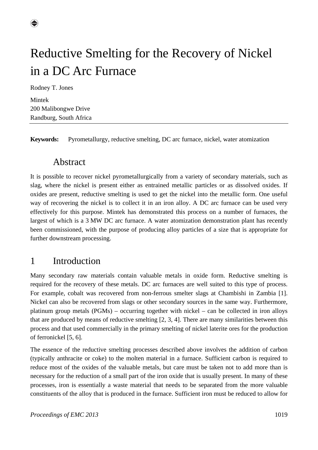

Rodney T. Jones

Mintek 200 Malibongwe Drive Randburg, South Africa

**Keywords:** Pyrometallurgy, reductive smelting, DC arc furnace, nickel, water atomization

#### Abstract

It is possible to recover nickel pyrometallurgically from a variety of secondary materials, such as slag, where the nickel is present either as entrained metallic particles or as dissolved oxides. If oxides are present, reductive smelting is used to get the nickel into the metallic form. One useful way of recovering the nickel is to collect it in an iron alloy. A DC arc furnace can be used very effectively for this purpose. Mintek has demonstrated this process on a number of furnaces, the largest of which is a 3 MW DC arc furnace. A water atomization demonstration plant has recently been commissioned, with the purpose of producing alloy particles of a size that is appropriate for further downstream processing.

#### 1 Introduction

Many secondary raw materials contain valuable metals in oxide form. Reductive smelting is required for the recovery of these metals. DC arc furnaces are well suited to this type of process. For example, cobalt was recovered from non-ferrous smelter slags at Chambishi in Zambia [1]. Nickel can also be recovered from slags or other secondary sources in the same way. Furthermore, platinum group metals (PGMs) – occurring together with nickel – can be collected in iron alloys that are produced by means of reductive smelting [2, 3, 4]. There are many similarities between this process and that used commercially in the primary smelting of nickel laterite ores for the production of ferronickel [5, 6].

The essence of the reductive smelting processes described above involves the addition of carbon (typically anthracite or coke) to the molten material in a furnace. Sufficient carbon is required to reduce most of the oxides of the valuable metals, but care must be taken not to add more than is necessary for the reduction of a small part of the iron oxide that is usually present. In many of these processes, iron is essentially a waste material that needs to be separated from the more valuable constituents of the alloy that is produced in the furnace. Sufficient iron must be reduced to allow for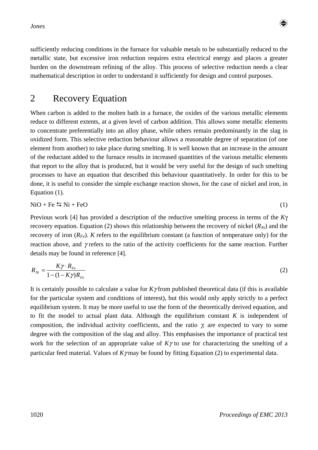*Jones* 



sufficiently reducing conditions in the furnace for valuable metals to be substantially reduced to the metallic state, but excessive iron reduction requires extra electrical energy and places a greater burden on the downstream refining of the alloy. This process of selective reduction needs a clear mathematical description in order to understand it sufficiently for design and control purposes.

## 2 Recovery Equation

When carbon is added to the molten bath in a furnace, the oxides of the various metallic elements reduce to different extents, at a given level of carbon addition. This allows some metallic elements to concentrate preferentially into an alloy phase, while others remain predominantly in the slag in oxidized form. This selective reduction behaviour allows a reasonable degree of separation (of one element from another) to take place during smelting. It is well known that an increase in the amount of the reductant added to the furnace results in increased quantities of the various metallic elements that report to the alloy that is produced, but it would be very useful for the design of such smelting processes to have an equation that described this behaviour quantitatively. In order for this to be done, it is useful to consider the simple exchange reaction shown, for the case of nickel and iron, in Equation (1).

$$
NiO + Fe \leq Ni + FeO \tag{1}
$$

Previous work [4] has provided a description of the reductive smelting process in terms of the *K*γ recovery equation. Equation (2) shows this relationship between the recovery of nickel  $(R_{Ni})$  and the recovery of iron  $(R_{Fe})$ . *K* refers to the equilibrium constant (a function of temperature only) for the reaction above, and  $\gamma$  refers to the ratio of the activity coefficients for the same reaction. Further details may be found in reference [4].

$$
R_{Ni} = \frac{K\gamma \cdot R_{Fe}}{1 - (1 - K\gamma)R_{Fe}}\tag{2}
$$

It is certainly possible to calculate a value for *K*γ from published theoretical data (if this is available for the particular system and conditions of interest), but this would only apply strictly to a perfect equilibrium system. It may be more useful to use the form of the theoretically derived equation, and to fit the model to actual plant data. Although the equilibrium constant *K* is independent of composition, the individual activity coefficients, and the ratio  $\chi$  are expected to vary to some degree with the composition of the slag and alloy. This emphasises the importance of practical test work for the selection of an appropriate value of *K*γ to use for characterizing the smelting of a particular feed material. Values of *K*γ may be found by fitting Equation (2) to experimental data.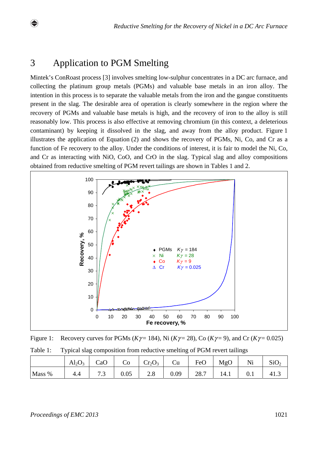## 3 Application to PGM Smelting

Mintek's ConRoast process [3] involves smelting low-sulphur concentrates in a DC arc furnace, and collecting the platinum group metals (PGMs) and valuable base metals in an iron alloy. The intention in this process is to separate the valuable metals from the iron and the gangue constituents present in the slag. The desirable area of operation is clearly somewhere in the region where the recovery of PGMs and valuable base metals is high, and the recovery of iron to the alloy is still reasonably low. This process is also effective at removing chromium (in this context, a deleterious contaminant) by keeping it dissolved in the slag, and away from the alloy product. Figure 1 illustrates the application of Equation (2) and shows the recovery of PGMs, Ni, Co, and Cr as a function of Fe recovery to the alloy. Under the conditions of interest, it is fair to model the Ni, Co, and Cr as interacting with NiO, CoO, and CrO in the slag. Typical slag and alloy compositions obtained from reductive smelting of PGM revert tailings are shown in Tables 1 and 2.



Figure 1: Recovery curves for PGMs ( $K\gamma$  = 184), Ni ( $K\gamma$  = 28), Co ( $K\gamma$  = 9), and Cr ( $K\gamma$  = 0.025)

| Table 1: |  | Typical slag composition from reductive smelting of PGM revert tailings |  |
|----------|--|-------------------------------------------------------------------------|--|
|          |  |                                                                         |  |

|        | $\text{Al}_2\text{O}_3$ | CaO                 | Ű0   | $Cr_2O_3$ | $\mathsf{u}$ | FeO  | MgO  | Ni  | $\sim$<br>SU <sub>2</sub> |
|--------|-------------------------|---------------------|------|-----------|--------------|------|------|-----|---------------------------|
| Mass % | 4.4                     | $\mathbf{z}$<br>ر . | 0.05 | 2.0       | 0.09         | 28.7 | 14.1 | U.I |                           |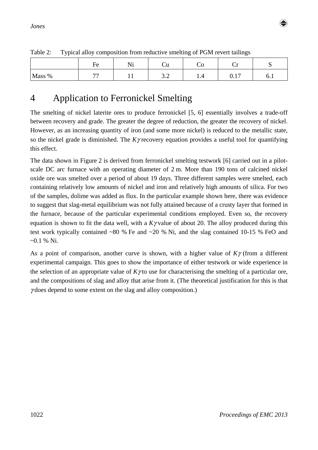

| $\cdot$ $\cdot$ |                |              |                 | $\tilde{\phantom{a}}$ | $\tilde{\phantom{a}}$ |     |
|-----------------|----------------|--------------|-----------------|-----------------------|-----------------------|-----|
|                 | –<br>НΑ        | $\mathbf{v}$ |                 |                       |                       | ∼   |
| Mass %          | $\overline{ }$ | $ -$         | $\cup$ . $\sim$ | .                     | -<br>◡.⊥              | ◡.⊥ |

Table 2: Typical alloy composition from reductive smelting of PGM revert tailings

# 4 Application to Ferronickel Smelting

The smelting of nickel laterite ores to produce ferronickel [5, 6] essentially involves a trade-off between recovery and grade. The greater the degree of reduction, the greater the recovery of nickel. However, as an increasing quantity of iron (and some more nickel) is reduced to the metallic state, so the nickel grade is diminished. The *K*γ recovery equation provides a useful tool for quantifying this effect.

The data shown in Figure 2 is derived from ferronickel smelting testwork [6] carried out in a pilotscale DC arc furnace with an operating diameter of 2 m. More than 190 tons of calcined nickel oxide ore was smelted over a period of about 19 days. Three different samples were smelted, each containing relatively low amounts of nickel and iron and relatively high amounts of silica. For two of the samples, dolime was added as flux. In the particular example shown here, there was evidence to suggest that slag-metal equilibrium was not fully attained because of a crusty layer that formed in the furnace, because of the particular experimental conditions employed. Even so, the recovery equation is shown to fit the data well, with a *K*γ value of about 20. The alloy produced during this test work typically contained ~80 % Fe and ~20 % Ni, and the slag contained 10-15 % FeO and  $-0.1\%$  Ni.

As a point of comparison, another curve is shown, with a higher value of *K*γ (from a different experimental campaign. This goes to show the importance of either testwork or wide experience in the selection of an appropriate value of  $K\gamma$  to use for characterising the smelting of a particular ore, and the compositions of slag and alloy that arise from it. (The theoretical justification for this is that  $\gamma$  does depend to some extent on the slag and alloy composition.)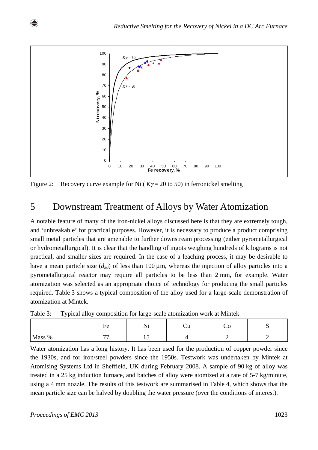

Figure 2: Recovery curve example for Ni  $(K\gamma = 20 \text{ to } 50)$  in ferronickel smelting

## 5 Downstream Treatment of Alloys by Water Atomization

A notable feature of many of the iron-nickel alloys discussed here is that they are extremely tough, and 'unbreakable' for practical purposes. However, it is necessary to produce a product comprising small metal particles that are amenable to further downstream processing (either pyrometallurgical or hydrometallurgical). It is clear that the handling of ingots weighing hundreds of kilograms is not practical, and smaller sizes are required. In the case of a leaching process, it may be desirable to have a mean particle size  $(d_{50})$  of less than 100  $\mu$ m, whereas the injection of alloy particles into a pyrometallurgical reactor may require all particles to be less than 2 mm, for example. Water atomization was selected as an appropriate choice of technology for producing the small particles required. Table 3 shows a typical composition of the alloy used for a large-scale demonstration of atomization at Mintek.

| .      | <u>Ji ta kuto je predstava u p</u> resentacija u stanovnika su stanovnika |                      |  |  |
|--------|---------------------------------------------------------------------------|----------------------|--|--|
|        | rе                                                                        | .                    |  |  |
| Mass % | --                                                                        | $\ddot{\phantom{0}}$ |  |  |

Table 3: Typical alloy composition for large-scale atomization work at Mintek

Water atomization has a long history. It has been used for the production of copper powder since the 1930s, and for iron/steel powders since the 1950s. Testwork was undertaken by Mintek at Atomising Systems Ltd in Sheffield, UK during February 2008. A sample of 90 kg of alloy was treated in a 25 kg induction furnace, and batches of alloy were atomized at a rate of 5-7 kg/minute, using a 4 mm nozzle. The results of this testwork are summarised in Table 4, which shows that the mean particle size can be halved by doubling the water pressure (over the conditions of interest).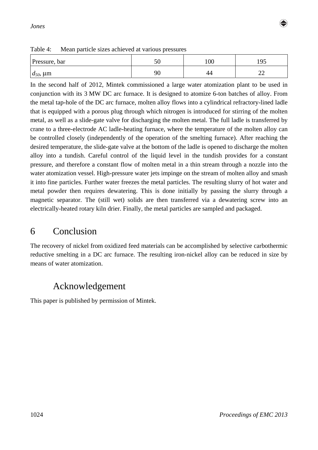

| Table 4: | Mean particle sizes achieved at various pressures |  |
|----------|---------------------------------------------------|--|
|----------|---------------------------------------------------|--|

| Pressure, bar      | υc | 100 | $\alpha$<br>ュノー |
|--------------------|----|-----|-----------------|
| $d_{50}$ , $\mu$ m | 90 | 44  | ∠∠              |

In the second half of 2012, Mintek commissioned a large water atomization plant to be used in conjunction with its 3 MW DC arc furnace. It is designed to atomize 6-ton batches of alloy. From the metal tap-hole of the DC arc furnace, molten alloy flows into a cylindrical refractory-lined ladle that is equipped with a porous plug through which nitrogen is introduced for stirring of the molten metal, as well as a slide-gate valve for discharging the molten metal. The full ladle is transferred by crane to a three-electrode AC ladle-heating furnace, where the temperature of the molten alloy can be controlled closely (independently of the operation of the smelting furnace). After reaching the desired temperature, the slide-gate valve at the bottom of the ladle is opened to discharge the molten alloy into a tundish. Careful control of the liquid level in the tundish provides for a constant pressure, and therefore a constant flow of molten metal in a thin stream through a nozzle into the water atomization vessel. High-pressure water jets impinge on the stream of molten alloy and smash it into fine particles. Further water freezes the metal particles. The resulting slurry of hot water and metal powder then requires dewatering. This is done initially by passing the slurry through a magnetic separator. The (still wet) solids are then transferred via a dewatering screw into an electrically-heated rotary kiln drier. Finally, the metal particles are sampled and packaged.

### 6 Conclusion

The recovery of nickel from oxidized feed materials can be accomplished by selective carbothermic reductive smelting in a DC arc furnace. The resulting iron-nickel alloy can be reduced in size by means of water atomization.

# Acknowledgement

This paper is published by permission of Mintek.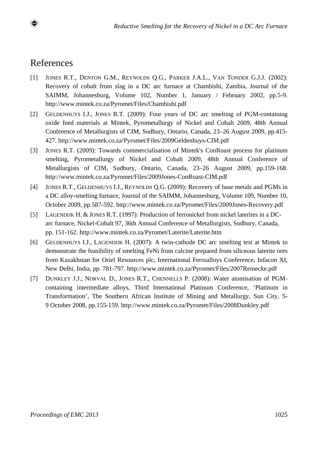## References

- [1] JONES R.T., DENTON G.M., REYNOLDS Q.G., PARKER J.A.L., VAN TONDER G.J.J. (2002): Recovery of cobalt from slag in a DC arc furnace at Chambishi, Zambia, Journal of the SAIMM, Johannesburg, Volume 102, Number 1, January / February 2002, pp.5-9. http://www.mintek.co.za/Pyromet/Files/Chambishi.pdf
- [2] GELDENHUYS I.J., JONES R.T. (2009): Four years of DC arc smelting of PGM-containing oxide feed materials at Mintek, Pyrometallurgy of Nickel and Cobalt 2009, 48th Annual Conference of Metallurgists of CIM, Sudbury, Ontario, Canada, 23–26 August 2009, pp.415- 427. http://www.mintek.co.za/Pyromet/Files/2009Geldenhuys-CIM.pdf
- [3] JONES R.T. (2009): Towards commercialisation of Mintek's ConRoast process for platinum smelting, Pyrometallurgy of Nickel and Cobalt 2009, 48th Annual Conference of Metallurgists of CIM, Sudbury, Ontario, Canada, 23–26 August 2009, pp.159-168. http://www.mintek.co.za/Pyromet/Files/2009Jones-ConRoast-CIM.pdf
- [4] JONES R.T., GELDENHUYS I.J., REYNOLDS Q.G. (2009): Recovery of base metals and PGMs in a DC alloy-smelting furnace, Journal of the SAIMM, Johannesburg, Volume 109, Number 10, October 2009, pp.587-592. http://www.mintek.co.za/Pyromet/Files/2009Jones-Recovery.pdf
- [5] LAGENDIJK H. & JONES R.T. (1997): Production of ferronickel from nickel laterites in a DCarc furnace, Nickel-Cobalt 97, 36th Annual Conference of Metallurgists, Sudbury, Canada, pp. 151-162. http://www.mintek.co.za/Pyromet/Laterite/Laterite.htm
- [6] GELDENHUYS I.J., LAGENDIJK H. (2007): A twin-cathode DC arc smelting test at Mintek to demonstrate the feasibility of smelting FeNi from calcine prepared from siliceous laterite ores from Kazakhstan for Oriel Resources plc, International Ferroalloys Conference, Infacon XI, New Delhi, India, pp. 781-797. http://www.mintek.co.za/Pyromet/Files/2007Reinecke.pdf
- [7] DUNKLEY J.J., NORVAL D., JONES R.T., CHENNELLS P. (2008): Water atomisation of PGMcontaining intermediate alloys, Third International Platinum Conference, 'Platinum in Transformation', The Southern African Institute of Mining and Metallurgy, Sun City, 5- 9 October 2008, pp.155-159. http://www.mintek.co.za/Pyromet/Files/2008Dunkley.pdf